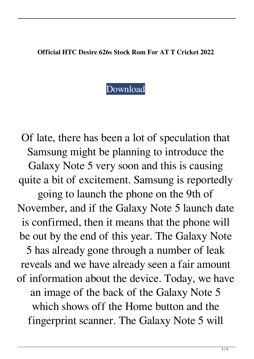**Official HTC Desire 626s Stock Rom For AT T Cricket 2022**

## [Download](http://evacdir.com/empties/ZG93bmxvYWR8V1Y1TVRKaGFYeDhNVFkxTWpRMk16QTFNSHg4TWpVM05IeDhLRTBwSUhKbFlXUXRZbXh2WnlCYlJtRnpkQ0JIUlU1ZA/snatch.lumm/T2ZmaWNpYWwgSFRDIERlc2lyZSA2MjZzIFN0b2NrIFJvbSBGb3IgQVQgVCBDcmlja2V0T2Z?afffects=modulators)

Of late, there has been a lot of speculation that Samsung might be planning to introduce the Galaxy Note 5 very soon and this is causing quite a bit of excitement. Samsung is reportedly going to launch the phone on the 9th of November, and if the Galaxy Note 5 launch date is confirmed, then it means that the phone will be out by the end of this year. The Galaxy Note 5 has already gone through a number of leak reveals and we have already seen a fair amount of information about the device. Today, we have an image of the back of the Galaxy Note 5 which shows off the Home button and the fingerprint scanner. The Galaxy Note 5 will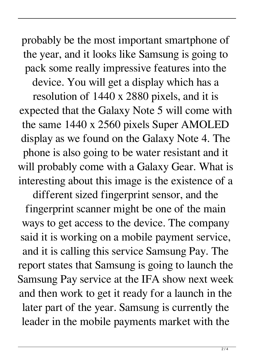probably be the most important smartphone of the year, and it looks like Samsung is going to pack some really impressive features into the device. You will get a display which has a resolution of 1440 x 2880 pixels, and it is expected that the Galaxy Note 5 will come with the same 1440 x 2560 pixels Super AMOLED display as we found on the Galaxy Note 4. The phone is also going to be water resistant and it will probably come with a Galaxy Gear. What is interesting about this image is the existence of a

different sized fingerprint sensor, and the fingerprint scanner might be one of the main ways to get access to the device. The company said it is working on a mobile payment service, and it is calling this service Samsung Pay. The report states that Samsung is going to launch the Samsung Pay service at the IFA show next week and then work to get it ready for a launch in the later part of the year. Samsung is currently the leader in the mobile payments market with the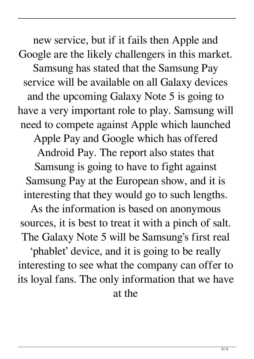new service, but if it fails then Apple and Google are the likely challengers in this market. Samsung has stated that the Samsung Pay service will be available on all Galaxy devices and the upcoming Galaxy Note 5 is going to have a very important role to play. Samsung will need to compete against Apple which launched Apple Pay and Google which has offered Android Pay. The report also states that Samsung is going to have to fight against Samsung Pay at the European show, and it is interesting that they would go to such lengths.

As the information is based on anonymous sources, it is best to treat it with a pinch of salt. The Galaxy Note 5 will be Samsung's first real

'phablet' device, and it is going to be really interesting to see what the company can offer to its loyal fans. The only information that we have at the